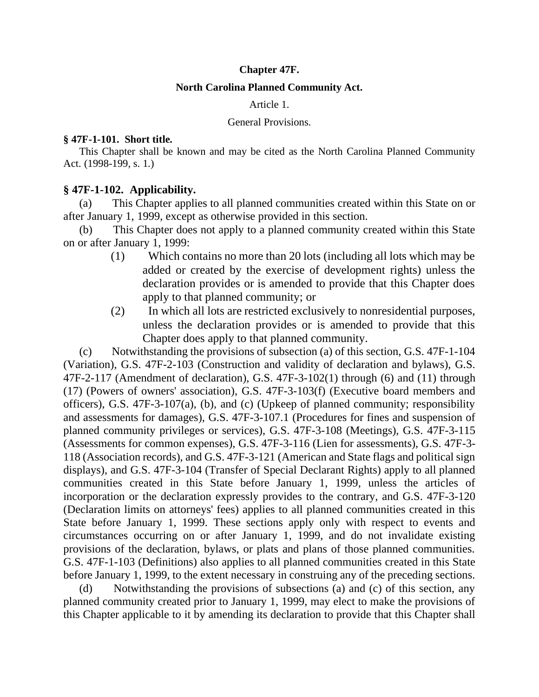#### **Chapter 47F.**

#### **North Carolina Planned Community Act.**

#### Article 1.

#### General Provisions.

#### **§ 47F-1-101. Short title.**

This Chapter shall be known and may be cited as the North Carolina Planned Community Act. (1998-199, s. 1.)

### **§ 47F-1-102. Applicability.**

(a) This Chapter applies to all planned communities created within this State on or after January 1, 1999, except as otherwise provided in this section.

(b) This Chapter does not apply to a planned community created within this State on or after January 1, 1999:

- (1) Which contains no more than 20 lots (including all lots which may be added or created by the exercise of development rights) unless the declaration provides or is amended to provide that this Chapter does apply to that planned community; or
- (2) In which all lots are restricted exclusively to nonresidential purposes, unless the declaration provides or is amended to provide that this Chapter does apply to that planned community.

(c) Notwithstanding the provisions of subsection (a) of this section, G.S. 47F-1-104 (Variation), G.S. 47F-2-103 (Construction and validity of declaration and bylaws), G.S. 47F-2-117 (Amendment of declaration), G.S. 47F-3-102(1) through (6) and (11) through (17) (Powers of owners' association), G.S. 47F-3-103(f) (Executive board members and officers), G.S. 47F-3-107(a), (b), and (c) (Upkeep of planned community; responsibility and assessments for damages), G.S. 47F-3-107.1 (Procedures for fines and suspension of planned community privileges or services), G.S. 47F-3-108 (Meetings), G.S. 47F-3-115 (Assessments for common expenses), G.S. 47F-3-116 (Lien for assessments), G.S. 47F-3- 118 (Association records), and G.S. 47F-3-121 (American and State flags and political sign displays), and G.S. 47F-3-104 (Transfer of Special Declarant Rights) apply to all planned communities created in this State before January 1, 1999, unless the articles of incorporation or the declaration expressly provides to the contrary, and G.S. 47F-3-120 (Declaration limits on attorneys' fees) applies to all planned communities created in this State before January 1, 1999. These sections apply only with respect to events and circumstances occurring on or after January 1, 1999, and do not invalidate existing provisions of the declaration, bylaws, or plats and plans of those planned communities. G.S. 47F-1-103 (Definitions) also applies to all planned communities created in this State before January 1, 1999, to the extent necessary in construing any of the preceding sections.

(d) Notwithstanding the provisions of subsections (a) and (c) of this section, any planned community created prior to January 1, 1999, may elect to make the provisions of this Chapter applicable to it by amending its declaration to provide that this Chapter shall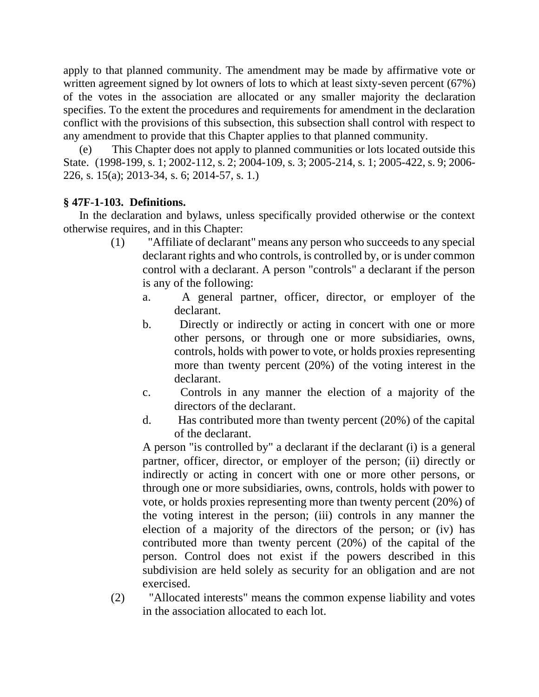apply to that planned community. The amendment may be made by affirmative vote or written agreement signed by lot owners of lots to which at least sixty-seven percent (67%) of the votes in the association are allocated or any smaller majority the declaration specifies. To the extent the procedures and requirements for amendment in the declaration conflict with the provisions of this subsection, this subsection shall control with respect to any amendment to provide that this Chapter applies to that planned community.

(e) This Chapter does not apply to planned communities or lots located outside this State. (1998-199, s. 1; 2002-112, s. 2; 2004-109, s. 3; 2005-214, s. 1; 2005-422, s. 9; 2006- 226, s. 15(a); 2013-34, s. 6; 2014-57, s. 1.)

# **§ 47F-1-103. Definitions.**

In the declaration and bylaws, unless specifically provided otherwise or the context otherwise requires, and in this Chapter:

- (1) "Affiliate of declarant" means any person who succeeds to any special declarant rights and who controls, is controlled by, or is under common control with a declarant. A person "controls" a declarant if the person is any of the following:
	- a. A general partner, officer, director, or employer of the declarant.
	- b. Directly or indirectly or acting in concert with one or more other persons, or through one or more subsidiaries, owns, controls, holds with power to vote, or holds proxies representing more than twenty percent (20%) of the voting interest in the declarant.
	- c. Controls in any manner the election of a majority of the directors of the declarant.
	- d. Has contributed more than twenty percent (20%) of the capital of the declarant.

A person "is controlled by" a declarant if the declarant (i) is a general partner, officer, director, or employer of the person; (ii) directly or indirectly or acting in concert with one or more other persons, or through one or more subsidiaries, owns, controls, holds with power to vote, or holds proxies representing more than twenty percent (20%) of the voting interest in the person; (iii) controls in any manner the election of a majority of the directors of the person; or (iv) has contributed more than twenty percent (20%) of the capital of the person. Control does not exist if the powers described in this subdivision are held solely as security for an obligation and are not exercised.

(2) "Allocated interests" means the common expense liability and votes in the association allocated to each lot.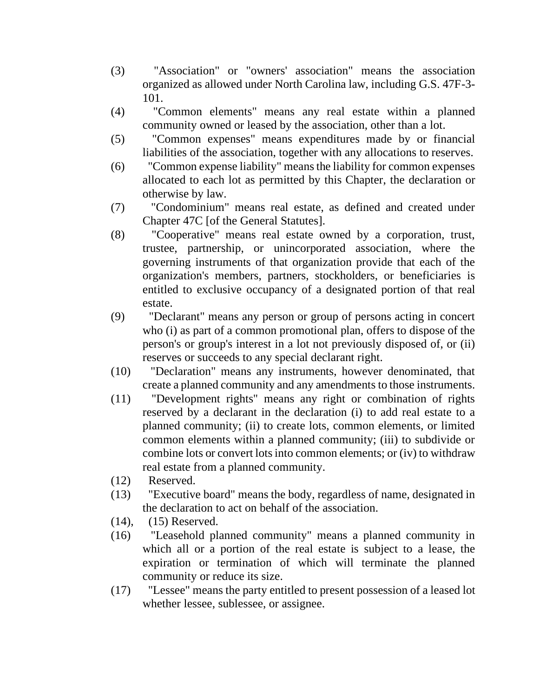- (3) "Association" or "owners' association" means the association organized as allowed under North Carolina law, including G.S. 47F-3- 101.
- (4) "Common elements" means any real estate within a planned community owned or leased by the association, other than a lot.
- (5) "Common expenses" means expenditures made by or financial liabilities of the association, together with any allocations to reserves.
- (6) "Common expense liability" means the liability for common expenses allocated to each lot as permitted by this Chapter, the declaration or otherwise by law.
- (7) "Condominium" means real estate, as defined and created under Chapter 47C [of the General Statutes].
- (8) "Cooperative" means real estate owned by a corporation, trust, trustee, partnership, or unincorporated association, where the governing instruments of that organization provide that each of the organization's members, partners, stockholders, or beneficiaries is entitled to exclusive occupancy of a designated portion of that real estate.
- (9) "Declarant" means any person or group of persons acting in concert who (i) as part of a common promotional plan, offers to dispose of the person's or group's interest in a lot not previously disposed of, or (ii) reserves or succeeds to any special declarant right.
- (10) "Declaration" means any instruments, however denominated, that create a planned community and any amendments to those instruments.
- (11) "Development rights" means any right or combination of rights reserved by a declarant in the declaration (i) to add real estate to a planned community; (ii) to create lots, common elements, or limited common elements within a planned community; (iii) to subdivide or combine lots or convert lots into common elements; or (iv) to withdraw real estate from a planned community.
- (12) Reserved.
- (13) "Executive board" means the body, regardless of name, designated in the declaration to act on behalf of the association.
- (14), (15) Reserved.
- (16) "Leasehold planned community" means a planned community in which all or a portion of the real estate is subject to a lease, the expiration or termination of which will terminate the planned community or reduce its size.
- (17) "Lessee" means the party entitled to present possession of a leased lot whether lessee, sublessee, or assignee.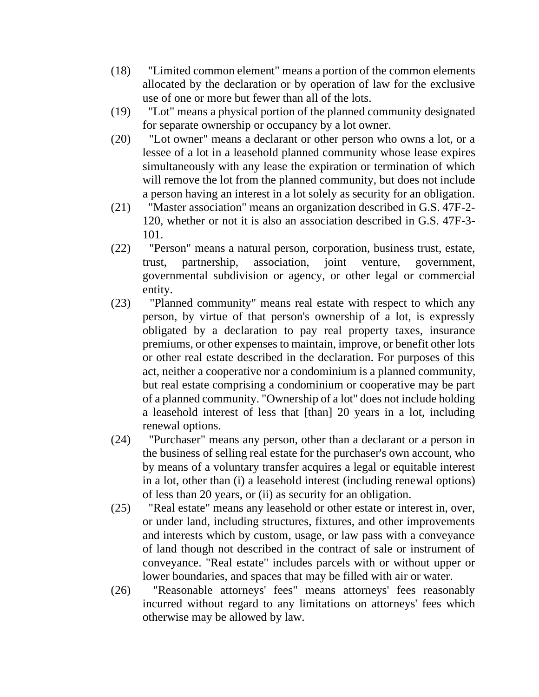- (18) "Limited common element" means a portion of the common elements allocated by the declaration or by operation of law for the exclusive use of one or more but fewer than all of the lots.
- (19) "Lot" means a physical portion of the planned community designated for separate ownership or occupancy by a lot owner.
- (20) "Lot owner" means a declarant or other person who owns a lot, or a lessee of a lot in a leasehold planned community whose lease expires simultaneously with any lease the expiration or termination of which will remove the lot from the planned community, but does not include a person having an interest in a lot solely as security for an obligation.
- (21) "Master association" means an organization described in G.S. 47F-2- 120, whether or not it is also an association described in G.S. 47F-3- 101.
- (22) "Person" means a natural person, corporation, business trust, estate, trust, partnership, association, joint venture, government, governmental subdivision or agency, or other legal or commercial entity.
- (23) "Planned community" means real estate with respect to which any person, by virtue of that person's ownership of a lot, is expressly obligated by a declaration to pay real property taxes, insurance premiums, or other expenses to maintain, improve, or benefit other lots or other real estate described in the declaration. For purposes of this act, neither a cooperative nor a condominium is a planned community, but real estate comprising a condominium or cooperative may be part of a planned community. "Ownership of a lot" does not include holding a leasehold interest of less that [than] 20 years in a lot, including renewal options.
- (24) "Purchaser" means any person, other than a declarant or a person in the business of selling real estate for the purchaser's own account, who by means of a voluntary transfer acquires a legal or equitable interest in a lot, other than (i) a leasehold interest (including renewal options) of less than 20 years, or (ii) as security for an obligation.
- (25) "Real estate" means any leasehold or other estate or interest in, over, or under land, including structures, fixtures, and other improvements and interests which by custom, usage, or law pass with a conveyance of land though not described in the contract of sale or instrument of conveyance. "Real estate" includes parcels with or without upper or lower boundaries, and spaces that may be filled with air or water.
- (26) "Reasonable attorneys' fees" means attorneys' fees reasonably incurred without regard to any limitations on attorneys' fees which otherwise may be allowed by law.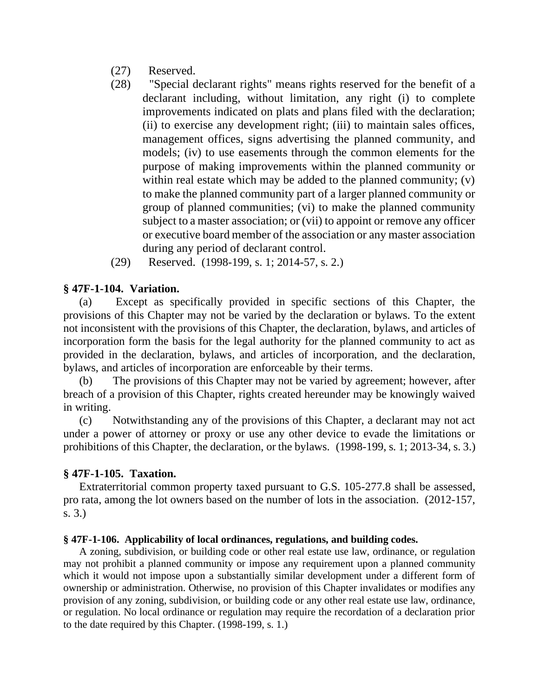- (27) Reserved.
- (28) "Special declarant rights" means rights reserved for the benefit of a declarant including, without limitation, any right (i) to complete improvements indicated on plats and plans filed with the declaration; (ii) to exercise any development right; (iii) to maintain sales offices, management offices, signs advertising the planned community, and models; (iv) to use easements through the common elements for the purpose of making improvements within the planned community or within real estate which may be added to the planned community; (v) to make the planned community part of a larger planned community or group of planned communities; (vi) to make the planned community subject to a master association; or (vii) to appoint or remove any officer or executive board member of the association or any master association during any period of declarant control.
- (29) Reserved. (1998-199, s. 1; 2014-57, s. 2.)

## **§ 47F-1-104. Variation.**

(a) Except as specifically provided in specific sections of this Chapter, the provisions of this Chapter may not be varied by the declaration or bylaws. To the extent not inconsistent with the provisions of this Chapter, the declaration, bylaws, and articles of incorporation form the basis for the legal authority for the planned community to act as provided in the declaration, bylaws, and articles of incorporation, and the declaration, bylaws, and articles of incorporation are enforceable by their terms.

(b) The provisions of this Chapter may not be varied by agreement; however, after breach of a provision of this Chapter, rights created hereunder may be knowingly waived in writing.

(c) Notwithstanding any of the provisions of this Chapter, a declarant may not act under a power of attorney or proxy or use any other device to evade the limitations or prohibitions of this Chapter, the declaration, or the bylaws. (1998-199, s. 1; 2013-34, s. 3.)

## **§ 47F-1-105. Taxation.**

Extraterritorial common property taxed pursuant to G.S. 105-277.8 shall be assessed, pro rata, among the lot owners based on the number of lots in the association. (2012-157, s. 3.)

## **§ 47F-1-106. Applicability of local ordinances, regulations, and building codes.**

A zoning, subdivision, or building code or other real estate use law, ordinance, or regulation may not prohibit a planned community or impose any requirement upon a planned community which it would not impose upon a substantially similar development under a different form of ownership or administration. Otherwise, no provision of this Chapter invalidates or modifies any provision of any zoning, subdivision, or building code or any other real estate use law, ordinance, or regulation. No local ordinance or regulation may require the recordation of a declaration prior to the date required by this Chapter. (1998-199, s. 1.)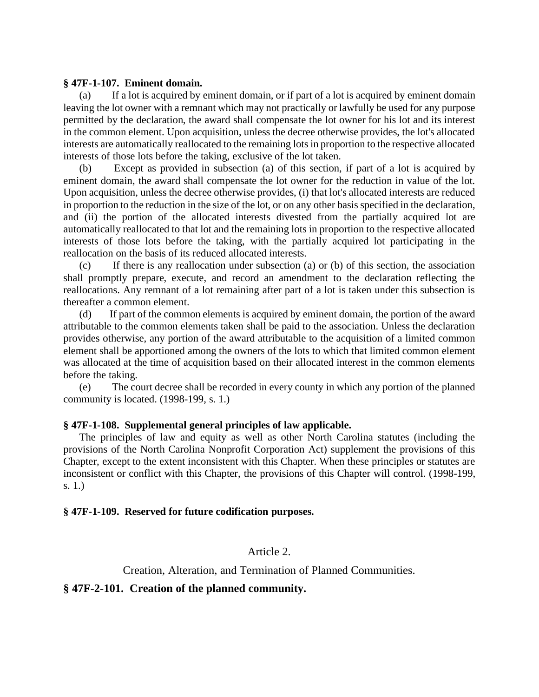#### **§ 47F-1-107. Eminent domain.**

(a) If a lot is acquired by eminent domain, or if part of a lot is acquired by eminent domain leaving the lot owner with a remnant which may not practically or lawfully be used for any purpose permitted by the declaration, the award shall compensate the lot owner for his lot and its interest in the common element. Upon acquisition, unless the decree otherwise provides, the lot's allocated interests are automatically reallocated to the remaining lots in proportion to the respective allocated interests of those lots before the taking, exclusive of the lot taken.

(b) Except as provided in subsection (a) of this section, if part of a lot is acquired by eminent domain, the award shall compensate the lot owner for the reduction in value of the lot. Upon acquisition, unless the decree otherwise provides, (i) that lot's allocated interests are reduced in proportion to the reduction in the size of the lot, or on any other basis specified in the declaration, and (ii) the portion of the allocated interests divested from the partially acquired lot are automatically reallocated to that lot and the remaining lots in proportion to the respective allocated interests of those lots before the taking, with the partially acquired lot participating in the reallocation on the basis of its reduced allocated interests.

(c) If there is any reallocation under subsection (a) or (b) of this section, the association shall promptly prepare, execute, and record an amendment to the declaration reflecting the reallocations. Any remnant of a lot remaining after part of a lot is taken under this subsection is thereafter a common element.

(d) If part of the common elements is acquired by eminent domain, the portion of the award attributable to the common elements taken shall be paid to the association. Unless the declaration provides otherwise, any portion of the award attributable to the acquisition of a limited common element shall be apportioned among the owners of the lots to which that limited common element was allocated at the time of acquisition based on their allocated interest in the common elements before the taking.

(e) The court decree shall be recorded in every county in which any portion of the planned community is located. (1998-199, s. 1.)

#### **§ 47F-1-108. Supplemental general principles of law applicable.**

The principles of law and equity as well as other North Carolina statutes (including the provisions of the North Carolina Nonprofit Corporation Act) supplement the provisions of this Chapter, except to the extent inconsistent with this Chapter. When these principles or statutes are inconsistent or conflict with this Chapter, the provisions of this Chapter will control. (1998-199, s. 1.)

#### **§ 47F-1-109. Reserved for future codification purposes.**

### Article 2.

### Creation, Alteration, and Termination of Planned Communities.

#### **§ 47F-2-101. Creation of the planned community.**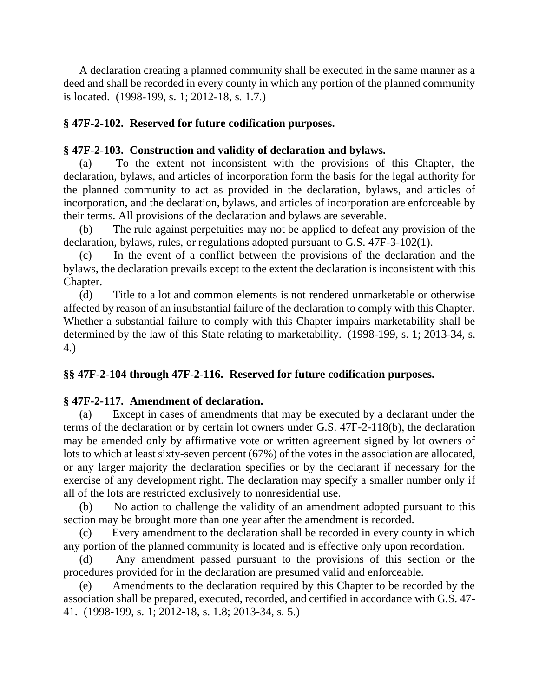A declaration creating a planned community shall be executed in the same manner as a deed and shall be recorded in every county in which any portion of the planned community is located. (1998-199, s. 1; 2012-18, s. 1.7.)

# **§ 47F-2-102. Reserved for future codification purposes.**

# **§ 47F-2-103. Construction and validity of declaration and bylaws.**

(a) To the extent not inconsistent with the provisions of this Chapter, the declaration, bylaws, and articles of incorporation form the basis for the legal authority for the planned community to act as provided in the declaration, bylaws, and articles of incorporation, and the declaration, bylaws, and articles of incorporation are enforceable by their terms. All provisions of the declaration and bylaws are severable.

(b) The rule against perpetuities may not be applied to defeat any provision of the declaration, bylaws, rules, or regulations adopted pursuant to G.S. 47F-3-102(1).

(c) In the event of a conflict between the provisions of the declaration and the bylaws, the declaration prevails except to the extent the declaration is inconsistent with this Chapter.

(d) Title to a lot and common elements is not rendered unmarketable or otherwise affected by reason of an insubstantial failure of the declaration to comply with this Chapter. Whether a substantial failure to comply with this Chapter impairs marketability shall be determined by the law of this State relating to marketability. (1998-199, s. 1; 2013-34, s. 4.)

# **§§ 47F-2-104 through 47F-2-116. Reserved for future codification purposes.**

# **§ 47F-2-117. Amendment of declaration.**

(a) Except in cases of amendments that may be executed by a declarant under the terms of the declaration or by certain lot owners under G.S. 47F-2-118(b), the declaration may be amended only by affirmative vote or written agreement signed by lot owners of lots to which at least sixty-seven percent (67%) of the votes in the association are allocated, or any larger majority the declaration specifies or by the declarant if necessary for the exercise of any development right. The declaration may specify a smaller number only if all of the lots are restricted exclusively to nonresidential use.

(b) No action to challenge the validity of an amendment adopted pursuant to this section may be brought more than one year after the amendment is recorded.

(c) Every amendment to the declaration shall be recorded in every county in which any portion of the planned community is located and is effective only upon recordation.

(d) Any amendment passed pursuant to the provisions of this section or the procedures provided for in the declaration are presumed valid and enforceable.

(e) Amendments to the declaration required by this Chapter to be recorded by the association shall be prepared, executed, recorded, and certified in accordance with G.S. 47- 41. (1998-199, s. 1; 2012-18, s. 1.8; 2013-34, s. 5.)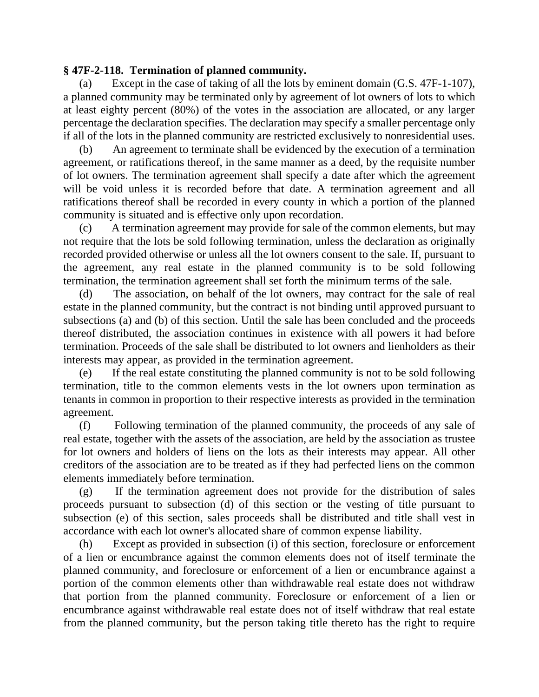## **§ 47F-2-118. Termination of planned community.**

(a) Except in the case of taking of all the lots by eminent domain (G.S. 47F-1-107), a planned community may be terminated only by agreement of lot owners of lots to which at least eighty percent (80%) of the votes in the association are allocated, or any larger percentage the declaration specifies. The declaration may specify a smaller percentage only if all of the lots in the planned community are restricted exclusively to nonresidential uses.

(b) An agreement to terminate shall be evidenced by the execution of a termination agreement, or ratifications thereof, in the same manner as a deed, by the requisite number of lot owners. The termination agreement shall specify a date after which the agreement will be void unless it is recorded before that date. A termination agreement and all ratifications thereof shall be recorded in every county in which a portion of the planned community is situated and is effective only upon recordation.

(c) A termination agreement may provide for sale of the common elements, but may not require that the lots be sold following termination, unless the declaration as originally recorded provided otherwise or unless all the lot owners consent to the sale. If, pursuant to the agreement, any real estate in the planned community is to be sold following termination, the termination agreement shall set forth the minimum terms of the sale.

(d) The association, on behalf of the lot owners, may contract for the sale of real estate in the planned community, but the contract is not binding until approved pursuant to subsections (a) and (b) of this section. Until the sale has been concluded and the proceeds thereof distributed, the association continues in existence with all powers it had before termination. Proceeds of the sale shall be distributed to lot owners and lienholders as their interests may appear, as provided in the termination agreement.

(e) If the real estate constituting the planned community is not to be sold following termination, title to the common elements vests in the lot owners upon termination as tenants in common in proportion to their respective interests as provided in the termination agreement.

(f) Following termination of the planned community, the proceeds of any sale of real estate, together with the assets of the association, are held by the association as trustee for lot owners and holders of liens on the lots as their interests may appear. All other creditors of the association are to be treated as if they had perfected liens on the common elements immediately before termination.

(g) If the termination agreement does not provide for the distribution of sales proceeds pursuant to subsection (d) of this section or the vesting of title pursuant to subsection (e) of this section, sales proceeds shall be distributed and title shall vest in accordance with each lot owner's allocated share of common expense liability.

(h) Except as provided in subsection (i) of this section, foreclosure or enforcement of a lien or encumbrance against the common elements does not of itself terminate the planned community, and foreclosure or enforcement of a lien or encumbrance against a portion of the common elements other than withdrawable real estate does not withdraw that portion from the planned community. Foreclosure or enforcement of a lien or encumbrance against withdrawable real estate does not of itself withdraw that real estate from the planned community, but the person taking title thereto has the right to require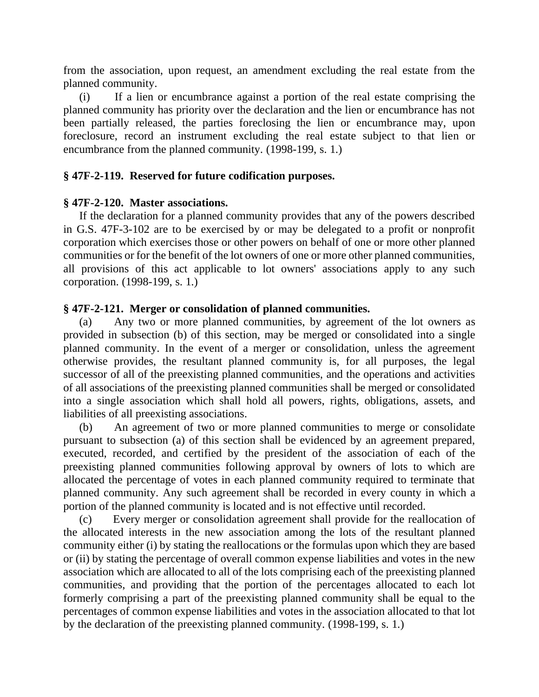from the association, upon request, an amendment excluding the real estate from the planned community.

(i) If a lien or encumbrance against a portion of the real estate comprising the planned community has priority over the declaration and the lien or encumbrance has not been partially released, the parties foreclosing the lien or encumbrance may, upon foreclosure, record an instrument excluding the real estate subject to that lien or encumbrance from the planned community. (1998-199, s. 1.)

# **§ 47F-2-119. Reserved for future codification purposes.**

## **§ 47F-2-120. Master associations.**

If the declaration for a planned community provides that any of the powers described in G.S. 47F-3-102 are to be exercised by or may be delegated to a profit or nonprofit corporation which exercises those or other powers on behalf of one or more other planned communities or for the benefit of the lot owners of one or more other planned communities, all provisions of this act applicable to lot owners' associations apply to any such corporation. (1998-199, s. 1.)

# **§ 47F-2-121. Merger or consolidation of planned communities.**

(a) Any two or more planned communities, by agreement of the lot owners as provided in subsection (b) of this section, may be merged or consolidated into a single planned community. In the event of a merger or consolidation, unless the agreement otherwise provides, the resultant planned community is, for all purposes, the legal successor of all of the preexisting planned communities, and the operations and activities of all associations of the preexisting planned communities shall be merged or consolidated into a single association which shall hold all powers, rights, obligations, assets, and liabilities of all preexisting associations.

(b) An agreement of two or more planned communities to merge or consolidate pursuant to subsection (a) of this section shall be evidenced by an agreement prepared, executed, recorded, and certified by the president of the association of each of the preexisting planned communities following approval by owners of lots to which are allocated the percentage of votes in each planned community required to terminate that planned community. Any such agreement shall be recorded in every county in which a portion of the planned community is located and is not effective until recorded.

(c) Every merger or consolidation agreement shall provide for the reallocation of the allocated interests in the new association among the lots of the resultant planned community either (i) by stating the reallocations or the formulas upon which they are based or (ii) by stating the percentage of overall common expense liabilities and votes in the new association which are allocated to all of the lots comprising each of the preexisting planned communities, and providing that the portion of the percentages allocated to each lot formerly comprising a part of the preexisting planned community shall be equal to the percentages of common expense liabilities and votes in the association allocated to that lot by the declaration of the preexisting planned community. (1998-199, s. 1.)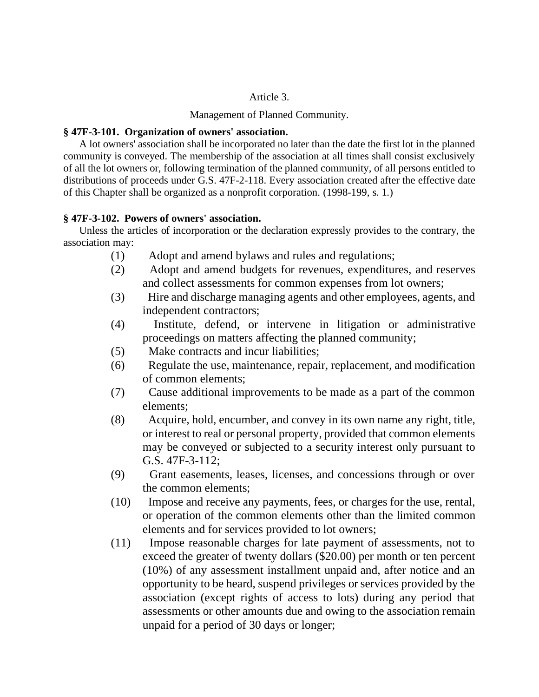### Article 3.

Management of Planned Community.

#### **§ 47F-3-101. Organization of owners' association.**

A lot owners' association shall be incorporated no later than the date the first lot in the planned community is conveyed. The membership of the association at all times shall consist exclusively of all the lot owners or, following termination of the planned community, of all persons entitled to distributions of proceeds under G.S. 47F-2-118. Every association created after the effective date of this Chapter shall be organized as a nonprofit corporation. (1998-199, s. 1.)

### **§ 47F-3-102. Powers of owners' association.**

Unless the articles of incorporation or the declaration expressly provides to the contrary, the association may:

- (1) Adopt and amend bylaws and rules and regulations;
- (2) Adopt and amend budgets for revenues, expenditures, and reserves and collect assessments for common expenses from lot owners;
- (3) Hire and discharge managing agents and other employees, agents, and independent contractors;
- (4) Institute, defend, or intervene in litigation or administrative proceedings on matters affecting the planned community;
- (5) Make contracts and incur liabilities;
- (6) Regulate the use, maintenance, repair, replacement, and modification of common elements;
- (7) Cause additional improvements to be made as a part of the common elements;
- (8) Acquire, hold, encumber, and convey in its own name any right, title, or interest to real or personal property, provided that common elements may be conveyed or subjected to a security interest only pursuant to G.S. 47F-3-112;
- (9) Grant easements, leases, licenses, and concessions through or over the common elements;
- (10) Impose and receive any payments, fees, or charges for the use, rental, or operation of the common elements other than the limited common elements and for services provided to lot owners;
- (11) Impose reasonable charges for late payment of assessments, not to exceed the greater of twenty dollars (\$20.00) per month or ten percent (10%) of any assessment installment unpaid and, after notice and an opportunity to be heard, suspend privileges or services provided by the association (except rights of access to lots) during any period that assessments or other amounts due and owing to the association remain unpaid for a period of 30 days or longer;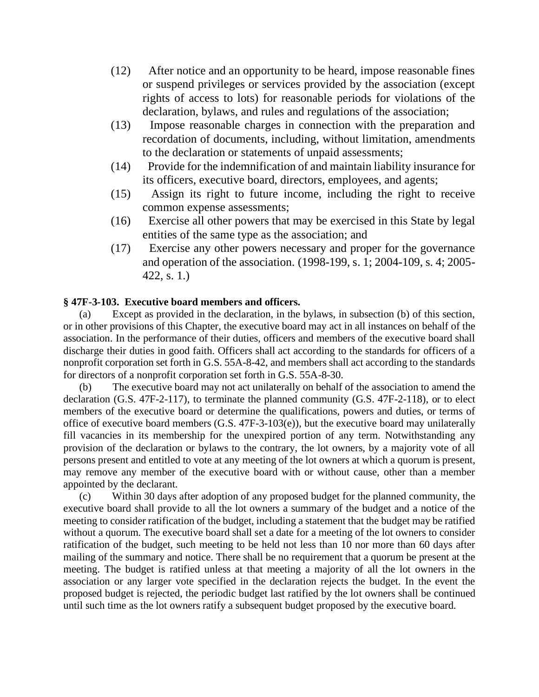- (12) After notice and an opportunity to be heard, impose reasonable fines or suspend privileges or services provided by the association (except rights of access to lots) for reasonable periods for violations of the declaration, bylaws, and rules and regulations of the association;
- (13) Impose reasonable charges in connection with the preparation and recordation of documents, including, without limitation, amendments to the declaration or statements of unpaid assessments;
- (14) Provide for the indemnification of and maintain liability insurance for its officers, executive board, directors, employees, and agents;
- (15) Assign its right to future income, including the right to receive common expense assessments;
- (16) Exercise all other powers that may be exercised in this State by legal entities of the same type as the association; and
- (17) Exercise any other powers necessary and proper for the governance and operation of the association. (1998-199, s. 1; 2004-109, s. 4; 2005- 422, s. 1.)

### **§ 47F-3-103. Executive board members and officers.**

(a) Except as provided in the declaration, in the bylaws, in subsection (b) of this section, or in other provisions of this Chapter, the executive board may act in all instances on behalf of the association. In the performance of their duties, officers and members of the executive board shall discharge their duties in good faith. Officers shall act according to the standards for officers of a nonprofit corporation set forth in G.S. 55A-8-42, and members shall act according to the standards for directors of a nonprofit corporation set forth in G.S. 55A-8-30.

(b) The executive board may not act unilaterally on behalf of the association to amend the declaration (G.S. 47F-2-117), to terminate the planned community (G.S. 47F-2-118), or to elect members of the executive board or determine the qualifications, powers and duties, or terms of office of executive board members (G.S. 47F-3-103(e)), but the executive board may unilaterally fill vacancies in its membership for the unexpired portion of any term. Notwithstanding any provision of the declaration or bylaws to the contrary, the lot owners, by a majority vote of all persons present and entitled to vote at any meeting of the lot owners at which a quorum is present, may remove any member of the executive board with or without cause, other than a member appointed by the declarant.

(c) Within 30 days after adoption of any proposed budget for the planned community, the executive board shall provide to all the lot owners a summary of the budget and a notice of the meeting to consider ratification of the budget, including a statement that the budget may be ratified without a quorum. The executive board shall set a date for a meeting of the lot owners to consider ratification of the budget, such meeting to be held not less than 10 nor more than 60 days after mailing of the summary and notice. There shall be no requirement that a quorum be present at the meeting. The budget is ratified unless at that meeting a majority of all the lot owners in the association or any larger vote specified in the declaration rejects the budget. In the event the proposed budget is rejected, the periodic budget last ratified by the lot owners shall be continued until such time as the lot owners ratify a subsequent budget proposed by the executive board.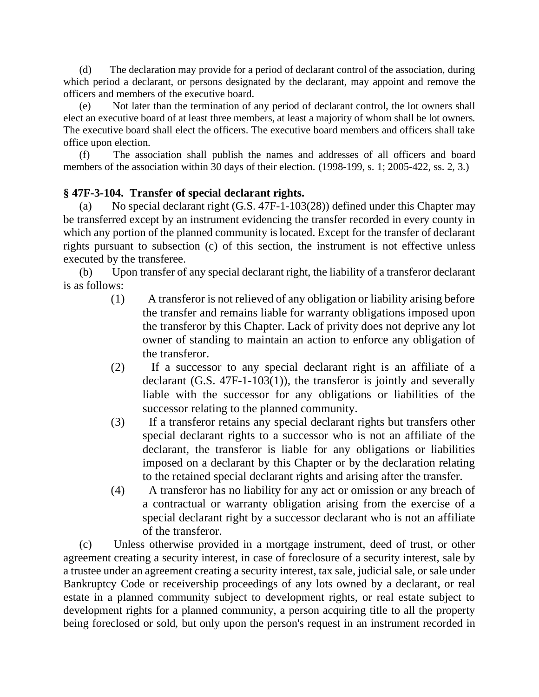(d) The declaration may provide for a period of declarant control of the association, during which period a declarant, or persons designated by the declarant, may appoint and remove the officers and members of the executive board.

(e) Not later than the termination of any period of declarant control, the lot owners shall elect an executive board of at least three members, at least a majority of whom shall be lot owners. The executive board shall elect the officers. The executive board members and officers shall take office upon election.

(f) The association shall publish the names and addresses of all officers and board members of the association within 30 days of their election. (1998-199, s. 1; 2005-422, ss. 2, 3.)

# **§ 47F-3-104. Transfer of special declarant rights.**

(a) No special declarant right (G.S. 47F-1-103(28)) defined under this Chapter may be transferred except by an instrument evidencing the transfer recorded in every county in which any portion of the planned community is located. Except for the transfer of declarant rights pursuant to subsection (c) of this section, the instrument is not effective unless executed by the transferee.

(b) Upon transfer of any special declarant right, the liability of a transferor declarant is as follows:

- (1) A transferor is not relieved of any obligation or liability arising before the transfer and remains liable for warranty obligations imposed upon the transferor by this Chapter. Lack of privity does not deprive any lot owner of standing to maintain an action to enforce any obligation of the transferor.
- (2) If a successor to any special declarant right is an affiliate of a declarant (G.S. 47F-1-103(1)), the transferor is jointly and severally liable with the successor for any obligations or liabilities of the successor relating to the planned community.
- (3) If a transferor retains any special declarant rights but transfers other special declarant rights to a successor who is not an affiliate of the declarant, the transferor is liable for any obligations or liabilities imposed on a declarant by this Chapter or by the declaration relating to the retained special declarant rights and arising after the transfer.
- (4) A transferor has no liability for any act or omission or any breach of a contractual or warranty obligation arising from the exercise of a special declarant right by a successor declarant who is not an affiliate of the transferor.

(c) Unless otherwise provided in a mortgage instrument, deed of trust, or other agreement creating a security interest, in case of foreclosure of a security interest, sale by a trustee under an agreement creating a security interest, tax sale, judicial sale, or sale under Bankruptcy Code or receivership proceedings of any lots owned by a declarant, or real estate in a planned community subject to development rights, or real estate subject to development rights for a planned community, a person acquiring title to all the property being foreclosed or sold, but only upon the person's request in an instrument recorded in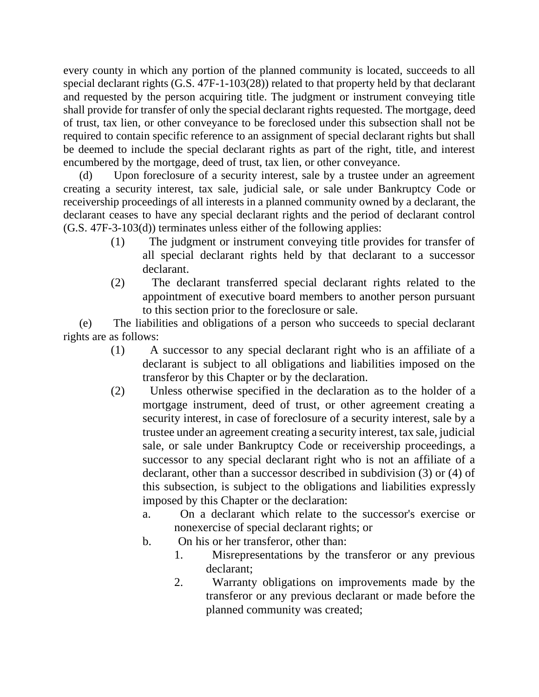every county in which any portion of the planned community is located, succeeds to all special declarant rights (G.S. 47F-1-103(28)) related to that property held by that declarant and requested by the person acquiring title. The judgment or instrument conveying title shall provide for transfer of only the special declarant rights requested. The mortgage, deed of trust, tax lien, or other conveyance to be foreclosed under this subsection shall not be required to contain specific reference to an assignment of special declarant rights but shall be deemed to include the special declarant rights as part of the right, title, and interest encumbered by the mortgage, deed of trust, tax lien, or other conveyance.

(d) Upon foreclosure of a security interest, sale by a trustee under an agreement creating a security interest, tax sale, judicial sale, or sale under Bankruptcy Code or receivership proceedings of all interests in a planned community owned by a declarant, the declarant ceases to have any special declarant rights and the period of declarant control (G.S. 47F-3-103(d)) terminates unless either of the following applies:

- (1) The judgment or instrument conveying title provides for transfer of all special declarant rights held by that declarant to a successor declarant.
- (2) The declarant transferred special declarant rights related to the appointment of executive board members to another person pursuant to this section prior to the foreclosure or sale.

(e) The liabilities and obligations of a person who succeeds to special declarant rights are as follows:

- (1) A successor to any special declarant right who is an affiliate of a declarant is subject to all obligations and liabilities imposed on the transferor by this Chapter or by the declaration.
- (2) Unless otherwise specified in the declaration as to the holder of a mortgage instrument, deed of trust, or other agreement creating a security interest, in case of foreclosure of a security interest, sale by a trustee under an agreement creating a security interest, tax sale, judicial sale, or sale under Bankruptcy Code or receivership proceedings, a successor to any special declarant right who is not an affiliate of a declarant, other than a successor described in subdivision (3) or (4) of this subsection, is subject to the obligations and liabilities expressly imposed by this Chapter or the declaration:
	- a. On a declarant which relate to the successor's exercise or nonexercise of special declarant rights; or
	- b. On his or her transferor, other than:
		- 1. Misrepresentations by the transferor or any previous declarant;
		- 2. Warranty obligations on improvements made by the transferor or any previous declarant or made before the planned community was created;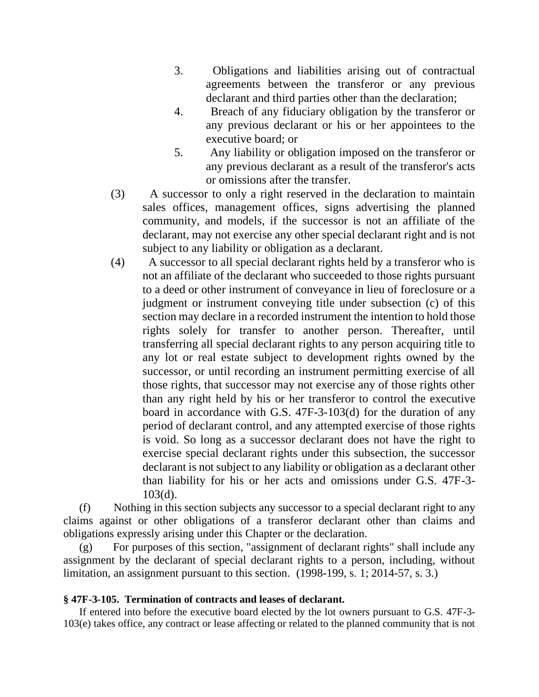- 3. Obligations and liabilities arising out of contractual agreements between the transferor or any previous declarant and third parties other than the declaration;
- 4. Breach of any fiduciary obligation by the transferor or any previous declarant or his or her appointees to the executive board; or
- 5. Any liability or obligation imposed on the transferor or any previous declarant as a result of the transferor's acts or omissions after the transfer.
- (3) A successor to only a right reserved in the declaration to maintain sales offices, management offices, signs advertising the planned community, and models, if the successor is not an affiliate of the declarant, may not exercise any other special declarant right and is not subject to any liability or obligation as a declarant.
- (4) A successor to all special declarant rights held by a transferor who is not an affiliate of the declarant who succeeded to those rights pursuant to a deed or other instrument of conveyance in lieu of foreclosure or a judgment or instrument conveying title under subsection (c) of this section may declare in a recorded instrument the intention to hold those rights solely for transfer to another person. Thereafter, until transferring all special declarant rights to any person acquiring title to any lot or real estate subject to development rights owned by the successor, or until recording an instrument permitting exercise of all those rights, that successor may not exercise any of those rights other than any right held by his or her transferor to control the executive board in accordance with G.S. 47F-3-103(d) for the duration of any period of declarant control, and any attempted exercise of those rights is void. So long as a successor declarant does not have the right to exercise special declarant rights under this subsection, the successor declarant is not subject to any liability or obligation as a declarant other than liability for his or her acts and omissions under G.S. 47F-3- 103(d).

(f) Nothing in this section subjects any successor to a special declarant right to any claims against or other obligations of a transferor declarant other than claims and obligations expressly arising under this Chapter or the declaration.

(g) For purposes of this section, "assignment of declarant rights" shall include any assignment by the declarant of special declarant rights to a person, including, without limitation, an assignment pursuant to this section. (1998-199, s. 1; 2014-57, s. 3.)

### **§ 47F-3-105. Termination of contracts and leases of declarant.**

If entered into before the executive board elected by the lot owners pursuant to G.S. 47F-3- 103(e) takes office, any contract or lease affecting or related to the planned community that is not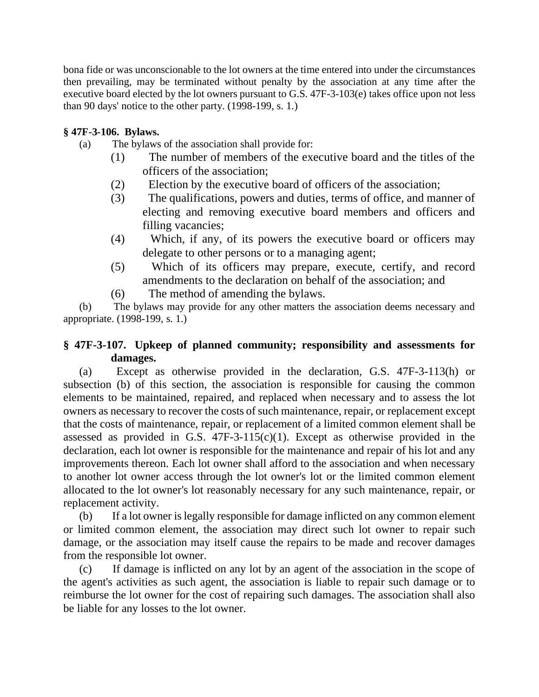bona fide or was unconscionable to the lot owners at the time entered into under the circumstances then prevailing, may be terminated without penalty by the association at any time after the executive board elected by the lot owners pursuant to G.S. 47F-3-103(e) takes office upon not less than 90 days' notice to the other party. (1998-199, s. 1.)

## **§ 47F-3-106. Bylaws.**

- (a) The bylaws of the association shall provide for:
	- (1) The number of members of the executive board and the titles of the officers of the association;
	- (2) Election by the executive board of officers of the association;
	- (3) The qualifications, powers and duties, terms of office, and manner of electing and removing executive board members and officers and filling vacancies;
	- (4) Which, if any, of its powers the executive board or officers may delegate to other persons or to a managing agent;
	- (5) Which of its officers may prepare, execute, certify, and record amendments to the declaration on behalf of the association; and
	- (6) The method of amending the bylaws.

(b) The bylaws may provide for any other matters the association deems necessary and appropriate. (1998-199, s. 1.)

# **§ 47F-3-107. Upkeep of planned community; responsibility and assessments for damages.**

(a) Except as otherwise provided in the declaration, G.S. 47F-3-113(h) or subsection (b) of this section, the association is responsible for causing the common elements to be maintained, repaired, and replaced when necessary and to assess the lot owners as necessary to recover the costs of such maintenance, repair, or replacement except that the costs of maintenance, repair, or replacement of a limited common element shall be assessed as provided in G.S.  $47F-3-115(c)(1)$ . Except as otherwise provided in the declaration, each lot owner is responsible for the maintenance and repair of his lot and any improvements thereon. Each lot owner shall afford to the association and when necessary to another lot owner access through the lot owner's lot or the limited common element allocated to the lot owner's lot reasonably necessary for any such maintenance, repair, or replacement activity.

(b) If a lot owner is legally responsible for damage inflicted on any common element or limited common element, the association may direct such lot owner to repair such damage, or the association may itself cause the repairs to be made and recover damages from the responsible lot owner.

(c) If damage is inflicted on any lot by an agent of the association in the scope of the agent's activities as such agent, the association is liable to repair such damage or to reimburse the lot owner for the cost of repairing such damages. The association shall also be liable for any losses to the lot owner.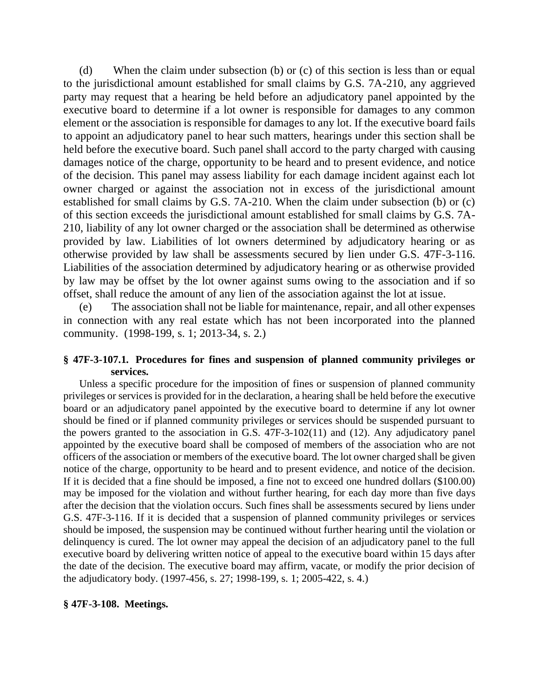(d) When the claim under subsection (b) or (c) of this section is less than or equal to the jurisdictional amount established for small claims by G.S. 7A-210, any aggrieved party may request that a hearing be held before an adjudicatory panel appointed by the executive board to determine if a lot owner is responsible for damages to any common element or the association is responsible for damages to any lot. If the executive board fails to appoint an adjudicatory panel to hear such matters, hearings under this section shall be held before the executive board. Such panel shall accord to the party charged with causing damages notice of the charge, opportunity to be heard and to present evidence, and notice of the decision. This panel may assess liability for each damage incident against each lot owner charged or against the association not in excess of the jurisdictional amount established for small claims by G.S. 7A-210. When the claim under subsection (b) or (c) of this section exceeds the jurisdictional amount established for small claims by G.S. 7A-210, liability of any lot owner charged or the association shall be determined as otherwise provided by law. Liabilities of lot owners determined by adjudicatory hearing or as otherwise provided by law shall be assessments secured by lien under G.S. 47F-3-116. Liabilities of the association determined by adjudicatory hearing or as otherwise provided by law may be offset by the lot owner against sums owing to the association and if so offset, shall reduce the amount of any lien of the association against the lot at issue.

(e) The association shall not be liable for maintenance, repair, and all other expenses in connection with any real estate which has not been incorporated into the planned community. (1998-199, s. 1; 2013-34, s. 2.)

## **§ 47F-3-107.1. Procedures for fines and suspension of planned community privileges or services.**

Unless a specific procedure for the imposition of fines or suspension of planned community privileges or services is provided for in the declaration, a hearing shall be held before the executive board or an adjudicatory panel appointed by the executive board to determine if any lot owner should be fined or if planned community privileges or services should be suspended pursuant to the powers granted to the association in G.S. 47F-3-102(11) and (12). Any adjudicatory panel appointed by the executive board shall be composed of members of the association who are not officers of the association or members of the executive board. The lot owner charged shall be given notice of the charge, opportunity to be heard and to present evidence, and notice of the decision. If it is decided that a fine should be imposed, a fine not to exceed one hundred dollars (\$100.00) may be imposed for the violation and without further hearing, for each day more than five days after the decision that the violation occurs. Such fines shall be assessments secured by liens under G.S. 47F-3-116. If it is decided that a suspension of planned community privileges or services should be imposed, the suspension may be continued without further hearing until the violation or delinquency is cured. The lot owner may appeal the decision of an adjudicatory panel to the full executive board by delivering written notice of appeal to the executive board within 15 days after the date of the decision. The executive board may affirm, vacate, or modify the prior decision of the adjudicatory body. (1997-456, s. 27; 1998-199, s. 1; 2005-422, s. 4.)

### **§ 47F-3-108. Meetings.**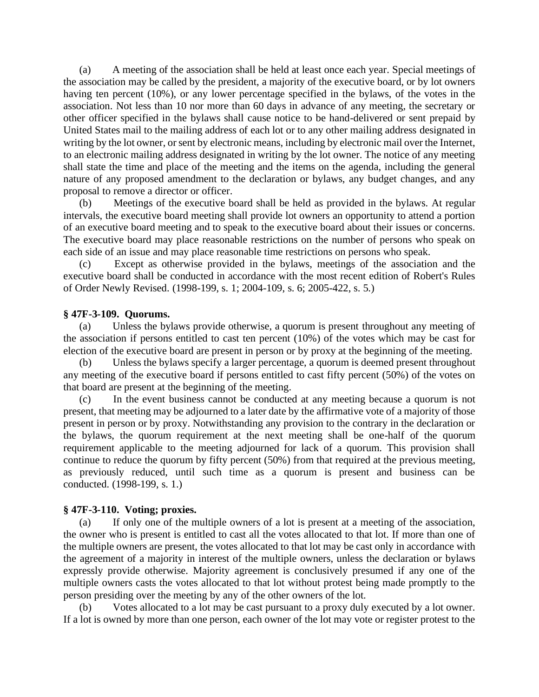(a) A meeting of the association shall be held at least once each year. Special meetings of the association may be called by the president, a majority of the executive board, or by lot owners having ten percent (10%), or any lower percentage specified in the bylaws, of the votes in the association. Not less than 10 nor more than 60 days in advance of any meeting, the secretary or other officer specified in the bylaws shall cause notice to be hand-delivered or sent prepaid by United States mail to the mailing address of each lot or to any other mailing address designated in writing by the lot owner, or sent by electronic means, including by electronic mail over the Internet, to an electronic mailing address designated in writing by the lot owner. The notice of any meeting shall state the time and place of the meeting and the items on the agenda, including the general nature of any proposed amendment to the declaration or bylaws, any budget changes, and any proposal to remove a director or officer.

(b) Meetings of the executive board shall be held as provided in the bylaws. At regular intervals, the executive board meeting shall provide lot owners an opportunity to attend a portion of an executive board meeting and to speak to the executive board about their issues or concerns. The executive board may place reasonable restrictions on the number of persons who speak on each side of an issue and may place reasonable time restrictions on persons who speak.

(c) Except as otherwise provided in the bylaws, meetings of the association and the executive board shall be conducted in accordance with the most recent edition of Robert's Rules of Order Newly Revised. (1998-199, s. 1; 2004-109, s. 6; 2005-422, s. 5.)

#### **§ 47F-3-109. Quorums.**

(a) Unless the bylaws provide otherwise, a quorum is present throughout any meeting of the association if persons entitled to cast ten percent (10%) of the votes which may be cast for election of the executive board are present in person or by proxy at the beginning of the meeting.

(b) Unless the bylaws specify a larger percentage, a quorum is deemed present throughout any meeting of the executive board if persons entitled to cast fifty percent (50%) of the votes on that board are present at the beginning of the meeting.

(c) In the event business cannot be conducted at any meeting because a quorum is not present, that meeting may be adjourned to a later date by the affirmative vote of a majority of those present in person or by proxy. Notwithstanding any provision to the contrary in the declaration or the bylaws, the quorum requirement at the next meeting shall be one-half of the quorum requirement applicable to the meeting adjourned for lack of a quorum. This provision shall continue to reduce the quorum by fifty percent (50%) from that required at the previous meeting, as previously reduced, until such time as a quorum is present and business can be conducted. (1998-199, s. 1.)

#### **§ 47F-3-110. Voting; proxies.**

(a) If only one of the multiple owners of a lot is present at a meeting of the association, the owner who is present is entitled to cast all the votes allocated to that lot. If more than one of the multiple owners are present, the votes allocated to that lot may be cast only in accordance with the agreement of a majority in interest of the multiple owners, unless the declaration or bylaws expressly provide otherwise. Majority agreement is conclusively presumed if any one of the multiple owners casts the votes allocated to that lot without protest being made promptly to the person presiding over the meeting by any of the other owners of the lot.

Votes allocated to a lot may be cast pursuant to a proxy duly executed by a lot owner. If a lot is owned by more than one person, each owner of the lot may vote or register protest to the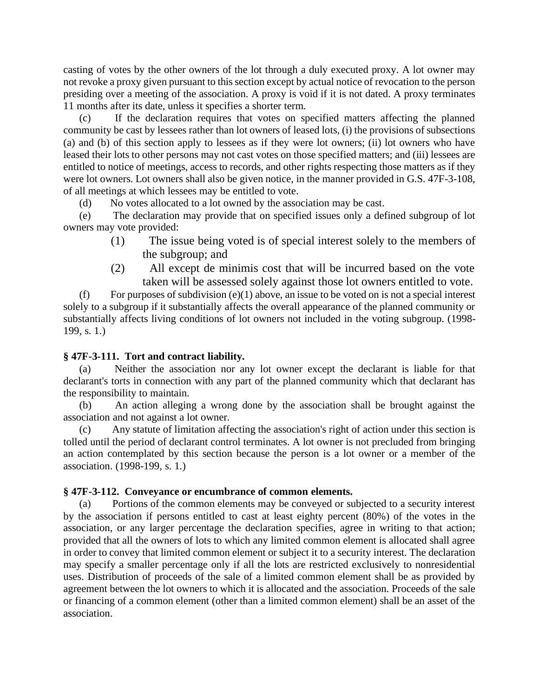casting of votes by the other owners of the lot through a duly executed proxy. A lot owner may not revoke a proxy given pursuant to this section except by actual notice of revocation to the person presiding over a meeting of the association. A proxy is void if it is not dated. A proxy terminates 11 months after its date, unless it specifies a shorter term.

(c) If the declaration requires that votes on specified matters affecting the planned community be cast by lessees rather than lot owners of leased lots, (i) the provisions of subsections (a) and (b) of this section apply to lessees as if they were lot owners; (ii) lot owners who have leased their lots to other persons may not cast votes on those specified matters; and (iii) lessees are entitled to notice of meetings, access to records, and other rights respecting those matters as if they were lot owners. Lot owners shall also be given notice, in the manner provided in G.S. 47F-3-108, of all meetings at which lessees may be entitled to vote.

(d) No votes allocated to a lot owned by the association may be cast.

(e) The declaration may provide that on specified issues only a defined subgroup of lot owners may vote provided:

- (1) The issue being voted is of special interest solely to the members of the subgroup; and
- (2) All except de minimis cost that will be incurred based on the vote taken will be assessed solely against those lot owners entitled to vote.

(f) For purposes of subdivision (e)(1) above, an issue to be voted on is not a special interest solely to a subgroup if it substantially affects the overall appearance of the planned community or substantially affects living conditions of lot owners not included in the voting subgroup. (1998- 199, s. 1.)

### **§ 47F-3-111. Tort and contract liability.**

Neither the association nor any lot owner except the declarant is liable for that declarant's torts in connection with any part of the planned community which that declarant has the responsibility to maintain.

(b) An action alleging a wrong done by the association shall be brought against the association and not against a lot owner.

(c) Any statute of limitation affecting the association's right of action under this section is tolled until the period of declarant control terminates. A lot owner is not precluded from bringing an action contemplated by this section because the person is a lot owner or a member of the association. (1998-199, s. 1.)

#### **§ 47F-3-112. Conveyance or encumbrance of common elements.**

(a) Portions of the common elements may be conveyed or subjected to a security interest by the association if persons entitled to cast at least eighty percent (80%) of the votes in the association, or any larger percentage the declaration specifies, agree in writing to that action; provided that all the owners of lots to which any limited common element is allocated shall agree in order to convey that limited common element or subject it to a security interest. The declaration may specify a smaller percentage only if all the lots are restricted exclusively to nonresidential uses. Distribution of proceeds of the sale of a limited common element shall be as provided by agreement between the lot owners to which it is allocated and the association. Proceeds of the sale or financing of a common element (other than a limited common element) shall be an asset of the association.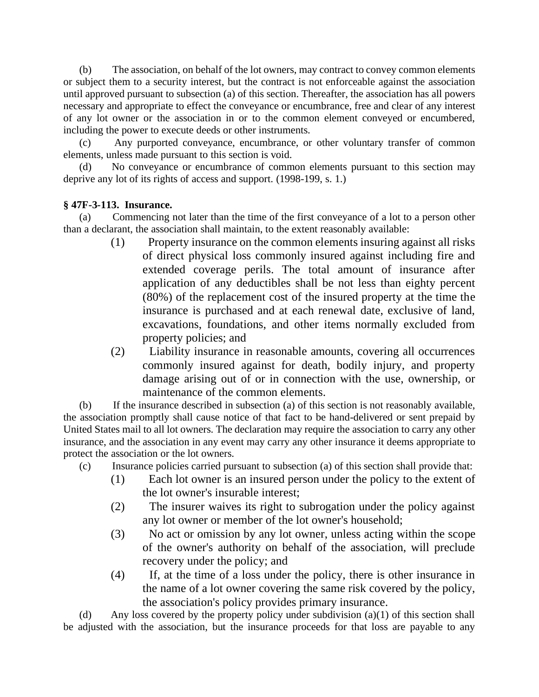(b) The association, on behalf of the lot owners, may contract to convey common elements or subject them to a security interest, but the contract is not enforceable against the association until approved pursuant to subsection (a) of this section. Thereafter, the association has all powers necessary and appropriate to effect the conveyance or encumbrance, free and clear of any interest of any lot owner or the association in or to the common element conveyed or encumbered, including the power to execute deeds or other instruments.

(c) Any purported conveyance, encumbrance, or other voluntary transfer of common elements, unless made pursuant to this section is void.

(d) No conveyance or encumbrance of common elements pursuant to this section may deprive any lot of its rights of access and support. (1998-199, s. 1.)

## **§ 47F-3-113. Insurance.**

(a) Commencing not later than the time of the first conveyance of a lot to a person other than a declarant, the association shall maintain, to the extent reasonably available:

- (1) Property insurance on the common elements insuring against all risks of direct physical loss commonly insured against including fire and extended coverage perils. The total amount of insurance after application of any deductibles shall be not less than eighty percent (80%) of the replacement cost of the insured property at the time the insurance is purchased and at each renewal date, exclusive of land, excavations, foundations, and other items normally excluded from property policies; and
- (2) Liability insurance in reasonable amounts, covering all occurrences commonly insured against for death, bodily injury, and property damage arising out of or in connection with the use, ownership, or maintenance of the common elements.

(b) If the insurance described in subsection (a) of this section is not reasonably available, the association promptly shall cause notice of that fact to be hand-delivered or sent prepaid by United States mail to all lot owners. The declaration may require the association to carry any other insurance, and the association in any event may carry any other insurance it deems appropriate to protect the association or the lot owners.

- (c) Insurance policies carried pursuant to subsection (a) of this section shall provide that:
	- (1) Each lot owner is an insured person under the policy to the extent of the lot owner's insurable interest;
	- (2) The insurer waives its right to subrogation under the policy against any lot owner or member of the lot owner's household;
	- (3) No act or omission by any lot owner, unless acting within the scope of the owner's authority on behalf of the association, will preclude recovery under the policy; and
	- (4) If, at the time of a loss under the policy, there is other insurance in the name of a lot owner covering the same risk covered by the policy, the association's policy provides primary insurance.

(d) Any loss covered by the property policy under subdivision (a)(1) of this section shall be adjusted with the association, but the insurance proceeds for that loss are payable to any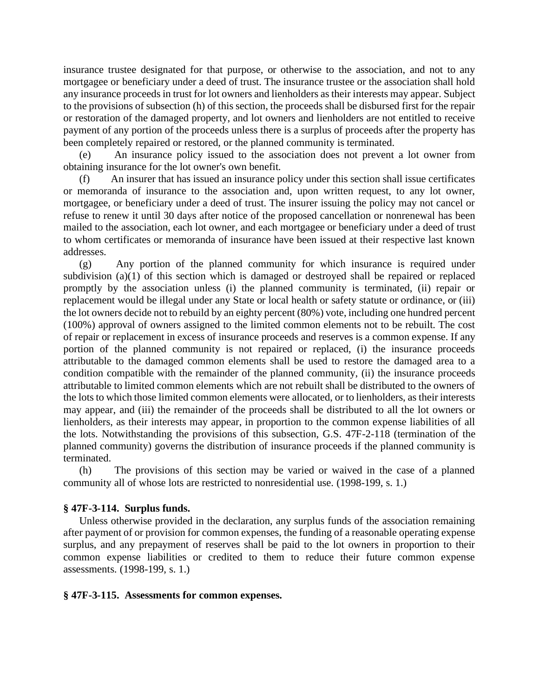insurance trustee designated for that purpose, or otherwise to the association, and not to any mortgagee or beneficiary under a deed of trust. The insurance trustee or the association shall hold any insurance proceeds in trust for lot owners and lienholders as their interests may appear. Subject to the provisions of subsection (h) of this section, the proceeds shall be disbursed first for the repair or restoration of the damaged property, and lot owners and lienholders are not entitled to receive payment of any portion of the proceeds unless there is a surplus of proceeds after the property has been completely repaired or restored, or the planned community is terminated.

(e) An insurance policy issued to the association does not prevent a lot owner from obtaining insurance for the lot owner's own benefit.

(f) An insurer that has issued an insurance policy under this section shall issue certificates or memoranda of insurance to the association and, upon written request, to any lot owner, mortgagee, or beneficiary under a deed of trust. The insurer issuing the policy may not cancel or refuse to renew it until 30 days after notice of the proposed cancellation or nonrenewal has been mailed to the association, each lot owner, and each mortgagee or beneficiary under a deed of trust to whom certificates or memoranda of insurance have been issued at their respective last known addresses.

(g) Any portion of the planned community for which insurance is required under subdivision (a)(1) of this section which is damaged or destroyed shall be repaired or replaced promptly by the association unless (i) the planned community is terminated, (ii) repair or replacement would be illegal under any State or local health or safety statute or ordinance, or (iii) the lot owners decide not to rebuild by an eighty percent (80%) vote, including one hundred percent (100%) approval of owners assigned to the limited common elements not to be rebuilt. The cost of repair or replacement in excess of insurance proceeds and reserves is a common expense. If any portion of the planned community is not repaired or replaced, (i) the insurance proceeds attributable to the damaged common elements shall be used to restore the damaged area to a condition compatible with the remainder of the planned community, (ii) the insurance proceeds attributable to limited common elements which are not rebuilt shall be distributed to the owners of the lots to which those limited common elements were allocated, or to lienholders, as their interests may appear, and (iii) the remainder of the proceeds shall be distributed to all the lot owners or lienholders, as their interests may appear, in proportion to the common expense liabilities of all the lots. Notwithstanding the provisions of this subsection, G.S. 47F-2-118 (termination of the planned community) governs the distribution of insurance proceeds if the planned community is terminated.

(h) The provisions of this section may be varied or waived in the case of a planned community all of whose lots are restricted to nonresidential use. (1998-199, s. 1.)

### **§ 47F-3-114. Surplus funds.**

Unless otherwise provided in the declaration, any surplus funds of the association remaining after payment of or provision for common expenses, the funding of a reasonable operating expense surplus, and any prepayment of reserves shall be paid to the lot owners in proportion to their common expense liabilities or credited to them to reduce their future common expense assessments. (1998-199, s. 1.)

#### **§ 47F-3-115. Assessments for common expenses.**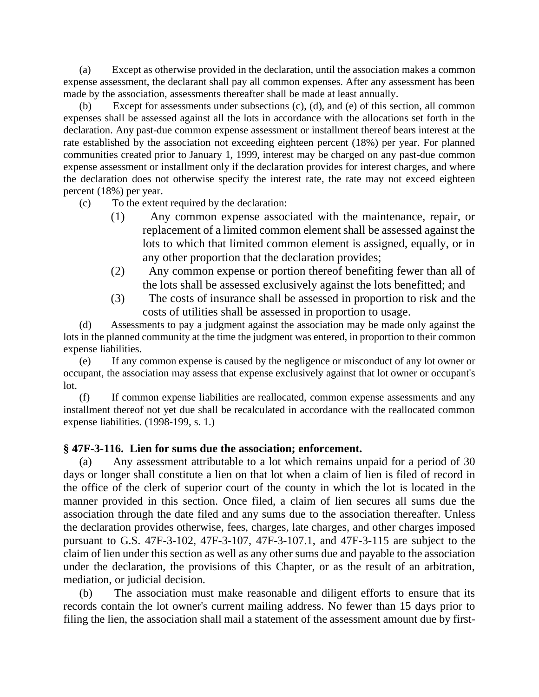(a) Except as otherwise provided in the declaration, until the association makes a common expense assessment, the declarant shall pay all common expenses. After any assessment has been made by the association, assessments thereafter shall be made at least annually.

Except for assessments under subsections  $(c)$ ,  $(d)$ , and  $(e)$  of this section, all common expenses shall be assessed against all the lots in accordance with the allocations set forth in the declaration. Any past-due common expense assessment or installment thereof bears interest at the rate established by the association not exceeding eighteen percent (18%) per year. For planned communities created prior to January 1, 1999, interest may be charged on any past-due common expense assessment or installment only if the declaration provides for interest charges, and where the declaration does not otherwise specify the interest rate, the rate may not exceed eighteen percent (18%) per year.

(c) To the extent required by the declaration:

- (1) Any common expense associated with the maintenance, repair, or replacement of a limited common element shall be assessed against the lots to which that limited common element is assigned, equally, or in any other proportion that the declaration provides;
- (2) Any common expense or portion thereof benefiting fewer than all of the lots shall be assessed exclusively against the lots benefitted; and
- (3) The costs of insurance shall be assessed in proportion to risk and the costs of utilities shall be assessed in proportion to usage.

(d) Assessments to pay a judgment against the association may be made only against the lots in the planned community at the time the judgment was entered, in proportion to their common expense liabilities.

(e) If any common expense is caused by the negligence or misconduct of any lot owner or occupant, the association may assess that expense exclusively against that lot owner or occupant's lot.

(f) If common expense liabilities are reallocated, common expense assessments and any installment thereof not yet due shall be recalculated in accordance with the reallocated common expense liabilities. (1998-199, s. 1.)

# **§ 47F-3-116. Lien for sums due the association; enforcement.**

(a) Any assessment attributable to a lot which remains unpaid for a period of 30 days or longer shall constitute a lien on that lot when a claim of lien is filed of record in the office of the clerk of superior court of the county in which the lot is located in the manner provided in this section. Once filed, a claim of lien secures all sums due the association through the date filed and any sums due to the association thereafter. Unless the declaration provides otherwise, fees, charges, late charges, and other charges imposed pursuant to G.S. 47F-3-102, 47F-3-107, 47F-3-107.1, and 47F-3-115 are subject to the claim of lien under this section as well as any other sums due and payable to the association under the declaration, the provisions of this Chapter, or as the result of an arbitration, mediation, or judicial decision.

(b) The association must make reasonable and diligent efforts to ensure that its records contain the lot owner's current mailing address. No fewer than 15 days prior to filing the lien, the association shall mail a statement of the assessment amount due by first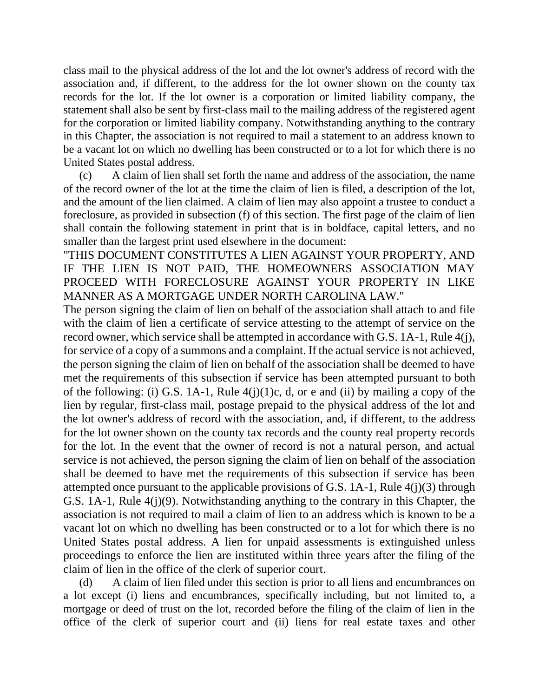class mail to the physical address of the lot and the lot owner's address of record with the association and, if different, to the address for the lot owner shown on the county tax records for the lot. If the lot owner is a corporation or limited liability company, the statement shall also be sent by first-class mail to the mailing address of the registered agent for the corporation or limited liability company. Notwithstanding anything to the contrary in this Chapter, the association is not required to mail a statement to an address known to be a vacant lot on which no dwelling has been constructed or to a lot for which there is no United States postal address.

(c) A claim of lien shall set forth the name and address of the association, the name of the record owner of the lot at the time the claim of lien is filed, a description of the lot, and the amount of the lien claimed. A claim of lien may also appoint a trustee to conduct a foreclosure, as provided in subsection (f) of this section. The first page of the claim of lien shall contain the following statement in print that is in boldface, capital letters, and no smaller than the largest print used elsewhere in the document:

"THIS DOCUMENT CONSTITUTES A LIEN AGAINST YOUR PROPERTY, AND IF THE LIEN IS NOT PAID, THE HOMEOWNERS ASSOCIATION MAY PROCEED WITH FORECLOSURE AGAINST YOUR PROPERTY IN LIKE MANNER AS A MORTGAGE UNDER NORTH CAROLINA LAW."

The person signing the claim of lien on behalf of the association shall attach to and file with the claim of lien a certificate of service attesting to the attempt of service on the record owner, which service shall be attempted in accordance with G.S. 1A-1, Rule 4(j), for service of a copy of a summons and a complaint. If the actual service is not achieved, the person signing the claim of lien on behalf of the association shall be deemed to have met the requirements of this subsection if service has been attempted pursuant to both of the following: (i) G.S. 1A-1, Rule  $4(j)(1)c$ , d, or e and (ii) by mailing a copy of the lien by regular, first-class mail, postage prepaid to the physical address of the lot and the lot owner's address of record with the association, and, if different, to the address for the lot owner shown on the county tax records and the county real property records for the lot. In the event that the owner of record is not a natural person, and actual service is not achieved, the person signing the claim of lien on behalf of the association shall be deemed to have met the requirements of this subsection if service has been attempted once pursuant to the applicable provisions of G.S.  $1A-1$ , Rule  $4(j)(3)$  through G.S. 1A-1, Rule 4(j)(9). Notwithstanding anything to the contrary in this Chapter, the association is not required to mail a claim of lien to an address which is known to be a vacant lot on which no dwelling has been constructed or to a lot for which there is no United States postal address. A lien for unpaid assessments is extinguished unless proceedings to enforce the lien are instituted within three years after the filing of the claim of lien in the office of the clerk of superior court.

(d) A claim of lien filed under this section is prior to all liens and encumbrances on a lot except (i) liens and encumbrances, specifically including, but not limited to, a mortgage or deed of trust on the lot, recorded before the filing of the claim of lien in the office of the clerk of superior court and (ii) liens for real estate taxes and other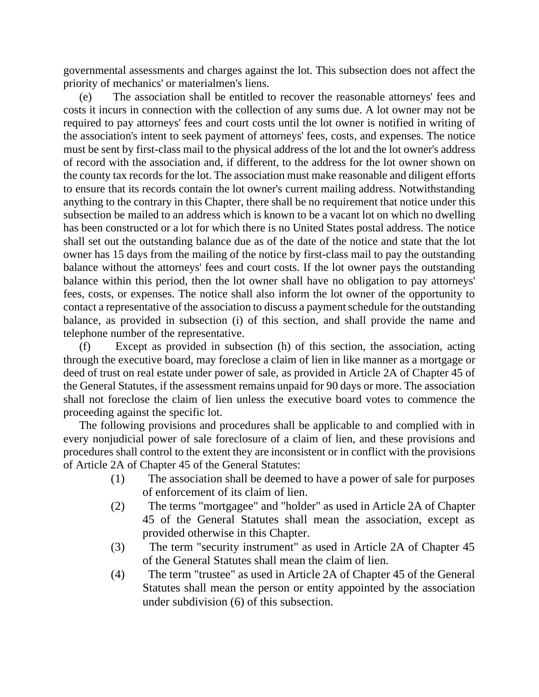governmental assessments and charges against the lot. This subsection does not affect the priority of mechanics' or materialmen's liens.

(e) The association shall be entitled to recover the reasonable attorneys' fees and costs it incurs in connection with the collection of any sums due. A lot owner may not be required to pay attorneys' fees and court costs until the lot owner is notified in writing of the association's intent to seek payment of attorneys' fees, costs, and expenses. The notice must be sent by first-class mail to the physical address of the lot and the lot owner's address of record with the association and, if different, to the address for the lot owner shown on the county tax records for the lot. The association must make reasonable and diligent efforts to ensure that its records contain the lot owner's current mailing address. Notwithstanding anything to the contrary in this Chapter, there shall be no requirement that notice under this subsection be mailed to an address which is known to be a vacant lot on which no dwelling has been constructed or a lot for which there is no United States postal address. The notice shall set out the outstanding balance due as of the date of the notice and state that the lot owner has 15 days from the mailing of the notice by first-class mail to pay the outstanding balance without the attorneys' fees and court costs. If the lot owner pays the outstanding balance within this period, then the lot owner shall have no obligation to pay attorneys' fees, costs, or expenses. The notice shall also inform the lot owner of the opportunity to contact a representative of the association to discuss a payment schedule for the outstanding balance, as provided in subsection (i) of this section, and shall provide the name and telephone number of the representative.

(f) Except as provided in subsection (h) of this section, the association, acting through the executive board, may foreclose a claim of lien in like manner as a mortgage or deed of trust on real estate under power of sale, as provided in Article 2A of Chapter 45 of the General Statutes, if the assessment remains unpaid for 90 days or more. The association shall not foreclose the claim of lien unless the executive board votes to commence the proceeding against the specific lot.

The following provisions and procedures shall be applicable to and complied with in every nonjudicial power of sale foreclosure of a claim of lien, and these provisions and procedures shall control to the extent they are inconsistent or in conflict with the provisions of Article 2A of Chapter 45 of the General Statutes:

- (1) The association shall be deemed to have a power of sale for purposes of enforcement of its claim of lien.
- (2) The terms "mortgagee" and "holder" as used in Article 2A of Chapter 45 of the General Statutes shall mean the association, except as provided otherwise in this Chapter.
- (3) The term "security instrument" as used in Article 2A of Chapter 45 of the General Statutes shall mean the claim of lien.
- (4) The term "trustee" as used in Article 2A of Chapter 45 of the General Statutes shall mean the person or entity appointed by the association under subdivision (6) of this subsection.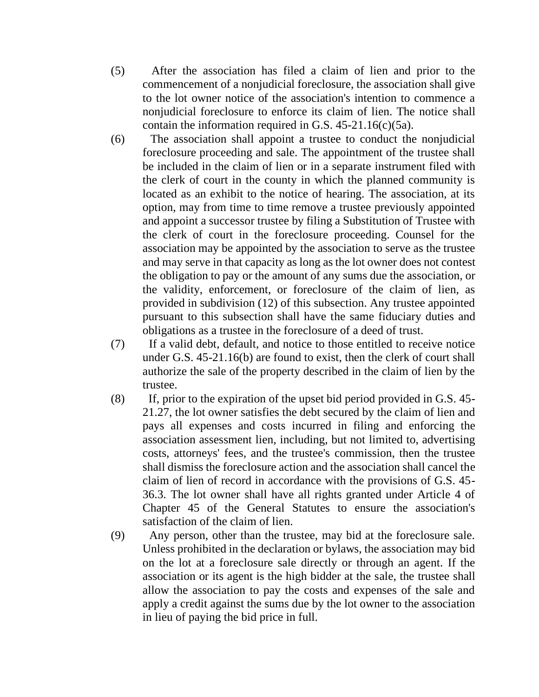- (5) After the association has filed a claim of lien and prior to the commencement of a nonjudicial foreclosure, the association shall give to the lot owner notice of the association's intention to commence a nonjudicial foreclosure to enforce its claim of lien. The notice shall contain the information required in G.S.  $45-21.16(c)(5a)$ .
- (6) The association shall appoint a trustee to conduct the nonjudicial foreclosure proceeding and sale. The appointment of the trustee shall be included in the claim of lien or in a separate instrument filed with the clerk of court in the county in which the planned community is located as an exhibit to the notice of hearing. The association, at its option, may from time to time remove a trustee previously appointed and appoint a successor trustee by filing a Substitution of Trustee with the clerk of court in the foreclosure proceeding. Counsel for the association may be appointed by the association to serve as the trustee and may serve in that capacity as long as the lot owner does not contest the obligation to pay or the amount of any sums due the association, or the validity, enforcement, or foreclosure of the claim of lien, as provided in subdivision (12) of this subsection. Any trustee appointed pursuant to this subsection shall have the same fiduciary duties and obligations as a trustee in the foreclosure of a deed of trust.
- (7) If a valid debt, default, and notice to those entitled to receive notice under G.S. 45-21.16(b) are found to exist, then the clerk of court shall authorize the sale of the property described in the claim of lien by the trustee.
- (8) If, prior to the expiration of the upset bid period provided in G.S. 45- 21.27, the lot owner satisfies the debt secured by the claim of lien and pays all expenses and costs incurred in filing and enforcing the association assessment lien, including, but not limited to, advertising costs, attorneys' fees, and the trustee's commission, then the trustee shall dismiss the foreclosure action and the association shall cancel the claim of lien of record in accordance with the provisions of G.S. 45- 36.3. The lot owner shall have all rights granted under Article 4 of Chapter 45 of the General Statutes to ensure the association's satisfaction of the claim of lien.
- (9) Any person, other than the trustee, may bid at the foreclosure sale. Unless prohibited in the declaration or bylaws, the association may bid on the lot at a foreclosure sale directly or through an agent. If the association or its agent is the high bidder at the sale, the trustee shall allow the association to pay the costs and expenses of the sale and apply a credit against the sums due by the lot owner to the association in lieu of paying the bid price in full.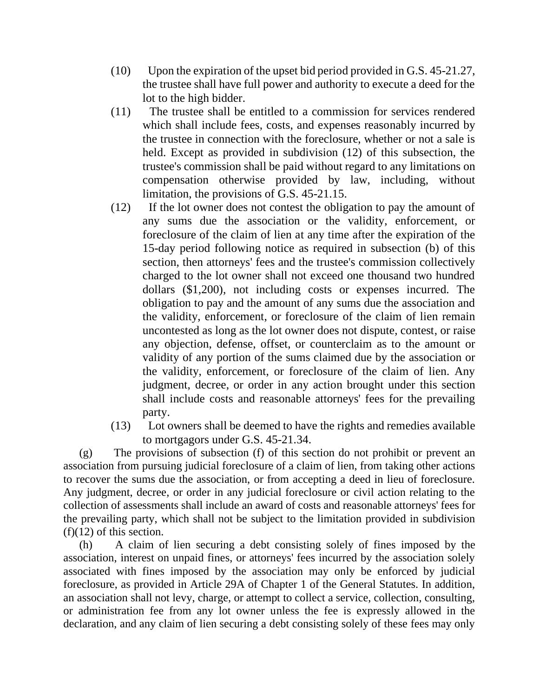- (10) Upon the expiration of the upset bid period provided in G.S. 45-21.27, the trustee shall have full power and authority to execute a deed for the lot to the high bidder.
- (11) The trustee shall be entitled to a commission for services rendered which shall include fees, costs, and expenses reasonably incurred by the trustee in connection with the foreclosure, whether or not a sale is held. Except as provided in subdivision (12) of this subsection, the trustee's commission shall be paid without regard to any limitations on compensation otherwise provided by law, including, without limitation, the provisions of G.S. 45-21.15.
- (12) If the lot owner does not contest the obligation to pay the amount of any sums due the association or the validity, enforcement, or foreclosure of the claim of lien at any time after the expiration of the 15-day period following notice as required in subsection (b) of this section, then attorneys' fees and the trustee's commission collectively charged to the lot owner shall not exceed one thousand two hundred dollars (\$1,200), not including costs or expenses incurred. The obligation to pay and the amount of any sums due the association and the validity, enforcement, or foreclosure of the claim of lien remain uncontested as long as the lot owner does not dispute, contest, or raise any objection, defense, offset, or counterclaim as to the amount or validity of any portion of the sums claimed due by the association or the validity, enforcement, or foreclosure of the claim of lien. Any judgment, decree, or order in any action brought under this section shall include costs and reasonable attorneys' fees for the prevailing party.
- (13) Lot owners shall be deemed to have the rights and remedies available to mortgagors under G.S. 45-21.34.

(g) The provisions of subsection (f) of this section do not prohibit or prevent an association from pursuing judicial foreclosure of a claim of lien, from taking other actions to recover the sums due the association, or from accepting a deed in lieu of foreclosure. Any judgment, decree, or order in any judicial foreclosure or civil action relating to the collection of assessments shall include an award of costs and reasonable attorneys' fees for the prevailing party, which shall not be subject to the limitation provided in subdivision (f)(12) of this section.

(h) A claim of lien securing a debt consisting solely of fines imposed by the association, interest on unpaid fines, or attorneys' fees incurred by the association solely associated with fines imposed by the association may only be enforced by judicial foreclosure, as provided in Article 29A of Chapter 1 of the General Statutes. In addition, an association shall not levy, charge, or attempt to collect a service, collection, consulting, or administration fee from any lot owner unless the fee is expressly allowed in the declaration, and any claim of lien securing a debt consisting solely of these fees may only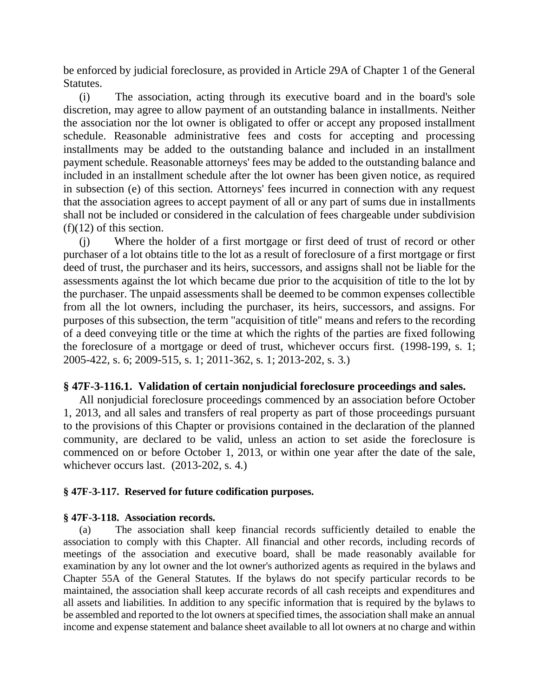be enforced by judicial foreclosure, as provided in Article 29A of Chapter 1 of the General Statutes.

(i) The association, acting through its executive board and in the board's sole discretion, may agree to allow payment of an outstanding balance in installments. Neither the association nor the lot owner is obligated to offer or accept any proposed installment schedule. Reasonable administrative fees and costs for accepting and processing installments may be added to the outstanding balance and included in an installment payment schedule. Reasonable attorneys' fees may be added to the outstanding balance and included in an installment schedule after the lot owner has been given notice, as required in subsection (e) of this section. Attorneys' fees incurred in connection with any request that the association agrees to accept payment of all or any part of sums due in installments shall not be included or considered in the calculation of fees chargeable under subdivision (f)(12) of this section.

(j) Where the holder of a first mortgage or first deed of trust of record or other purchaser of a lot obtains title to the lot as a result of foreclosure of a first mortgage or first deed of trust, the purchaser and its heirs, successors, and assigns shall not be liable for the assessments against the lot which became due prior to the acquisition of title to the lot by the purchaser. The unpaid assessments shall be deemed to be common expenses collectible from all the lot owners, including the purchaser, its heirs, successors, and assigns. For purposes of this subsection, the term "acquisition of title" means and refers to the recording of a deed conveying title or the time at which the rights of the parties are fixed following the foreclosure of a mortgage or deed of trust, whichever occurs first. (1998-199, s. 1; 2005-422, s. 6; 2009-515, s. 1; 2011-362, s. 1; 2013-202, s. 3.)

### **§ 47F-3-116.1. Validation of certain nonjudicial foreclosure proceedings and sales.**

All nonjudicial foreclosure proceedings commenced by an association before October 1, 2013, and all sales and transfers of real property as part of those proceedings pursuant to the provisions of this Chapter or provisions contained in the declaration of the planned community, are declared to be valid, unless an action to set aside the foreclosure is commenced on or before October 1, 2013, or within one year after the date of the sale, whichever occurs last. (2013-202, s. 4.)

#### **§ 47F-3-117. Reserved for future codification purposes.**

#### **§ 47F-3-118. Association records.**

(a) The association shall keep financial records sufficiently detailed to enable the association to comply with this Chapter. All financial and other records, including records of meetings of the association and executive board, shall be made reasonably available for examination by any lot owner and the lot owner's authorized agents as required in the bylaws and Chapter 55A of the General Statutes. If the bylaws do not specify particular records to be maintained, the association shall keep accurate records of all cash receipts and expenditures and all assets and liabilities. In addition to any specific information that is required by the bylaws to be assembled and reported to the lot owners at specified times, the association shall make an annual income and expense statement and balance sheet available to all lot owners at no charge and within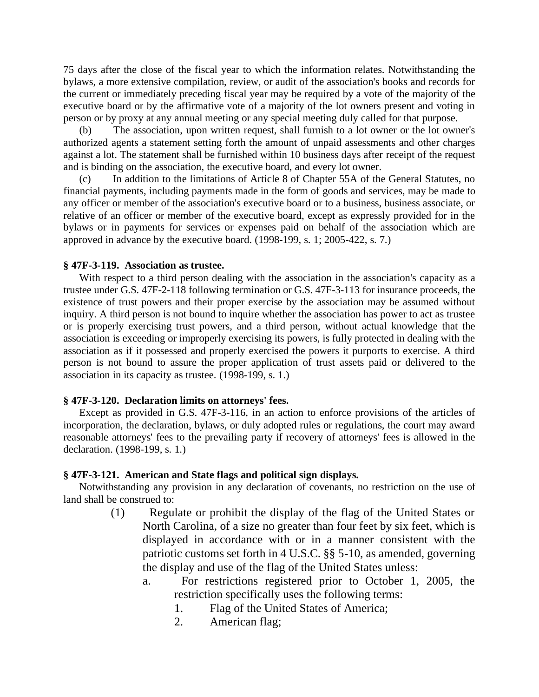75 days after the close of the fiscal year to which the information relates. Notwithstanding the bylaws, a more extensive compilation, review, or audit of the association's books and records for the current or immediately preceding fiscal year may be required by a vote of the majority of the executive board or by the affirmative vote of a majority of the lot owners present and voting in person or by proxy at any annual meeting or any special meeting duly called for that purpose.

(b) The association, upon written request, shall furnish to a lot owner or the lot owner's authorized agents a statement setting forth the amount of unpaid assessments and other charges against a lot. The statement shall be furnished within 10 business days after receipt of the request and is binding on the association, the executive board, and every lot owner.

In addition to the limitations of Article 8 of Chapter 55A of the General Statutes, no financial payments, including payments made in the form of goods and services, may be made to any officer or member of the association's executive board or to a business, business associate, or relative of an officer or member of the executive board, except as expressly provided for in the bylaws or in payments for services or expenses paid on behalf of the association which are approved in advance by the executive board. (1998-199, s. 1; 2005-422, s. 7.)

#### **§ 47F-3-119. Association as trustee.**

With respect to a third person dealing with the association in the association's capacity as a trustee under G.S. 47F-2-118 following termination or G.S. 47F-3-113 for insurance proceeds, the existence of trust powers and their proper exercise by the association may be assumed without inquiry. A third person is not bound to inquire whether the association has power to act as trustee or is properly exercising trust powers, and a third person, without actual knowledge that the association is exceeding or improperly exercising its powers, is fully protected in dealing with the association as if it possessed and properly exercised the powers it purports to exercise. A third person is not bound to assure the proper application of trust assets paid or delivered to the association in its capacity as trustee. (1998-199, s. 1.)

#### **§ 47F-3-120. Declaration limits on attorneys' fees.**

Except as provided in G.S. 47F-3-116, in an action to enforce provisions of the articles of incorporation, the declaration, bylaws, or duly adopted rules or regulations, the court may award reasonable attorneys' fees to the prevailing party if recovery of attorneys' fees is allowed in the declaration. (1998-199, s. 1.)

#### **§ 47F-3-121. American and State flags and political sign displays.**

Notwithstanding any provision in any declaration of covenants, no restriction on the use of land shall be construed to:

- (1) Regulate or prohibit the display of the flag of the United States or North Carolina, of a size no greater than four feet by six feet, which is displayed in accordance with or in a manner consistent with the patriotic customs set forth in 4 U.S.C. §§ 5-10, as amended, governing the display and use of the flag of the United States unless:
	- a. For restrictions registered prior to October 1, 2005, the restriction specifically uses the following terms:
		- 1. Flag of the United States of America;
		- 2. American flag;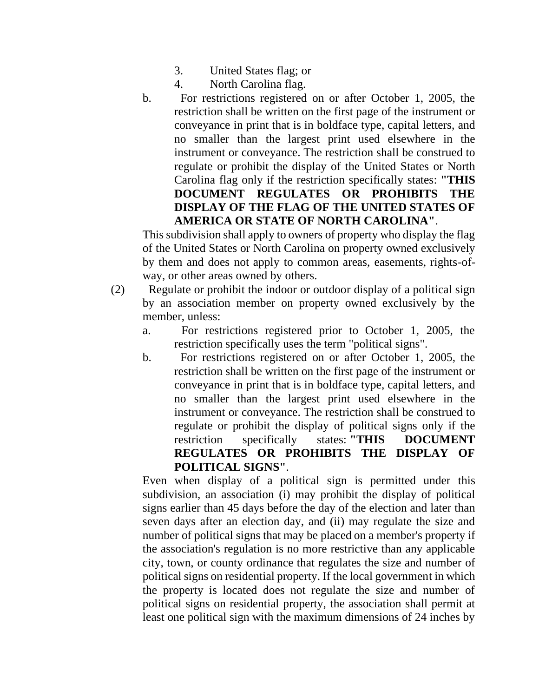- 3. United States flag; or
- 4. North Carolina flag.
- b. For restrictions registered on or after October 1, 2005, the restriction shall be written on the first page of the instrument or conveyance in print that is in boldface type, capital letters, and no smaller than the largest print used elsewhere in the instrument or conveyance. The restriction shall be construed to regulate or prohibit the display of the United States or North Carolina flag only if the restriction specifically states: **"THIS DOCUMENT REGULATES OR PROHIBITS THE DISPLAY OF THE FLAG OF THE UNITED STATES OF AMERICA OR STATE OF NORTH CAROLINA"**.

This subdivision shall apply to owners of property who display the flag of the United States or North Carolina on property owned exclusively by them and does not apply to common areas, easements, rights-ofway, or other areas owned by others.

- (2) Regulate or prohibit the indoor or outdoor display of a political sign by an association member on property owned exclusively by the member, unless:
	- a. For restrictions registered prior to October 1, 2005, the restriction specifically uses the term "political signs".
	- b. For restrictions registered on or after October 1, 2005, the restriction shall be written on the first page of the instrument or conveyance in print that is in boldface type, capital letters, and no smaller than the largest print used elsewhere in the instrument or conveyance. The restriction shall be construed to regulate or prohibit the display of political signs only if the restriction specifically states: **"THIS DOCUMENT REGULATES OR PROHIBITS THE DISPLAY OF POLITICAL SIGNS"**.

Even when display of a political sign is permitted under this subdivision, an association (i) may prohibit the display of political signs earlier than 45 days before the day of the election and later than seven days after an election day, and (ii) may regulate the size and number of political signs that may be placed on a member's property if the association's regulation is no more restrictive than any applicable city, town, or county ordinance that regulates the size and number of political signs on residential property. If the local government in which the property is located does not regulate the size and number of political signs on residential property, the association shall permit at least one political sign with the maximum dimensions of 24 inches by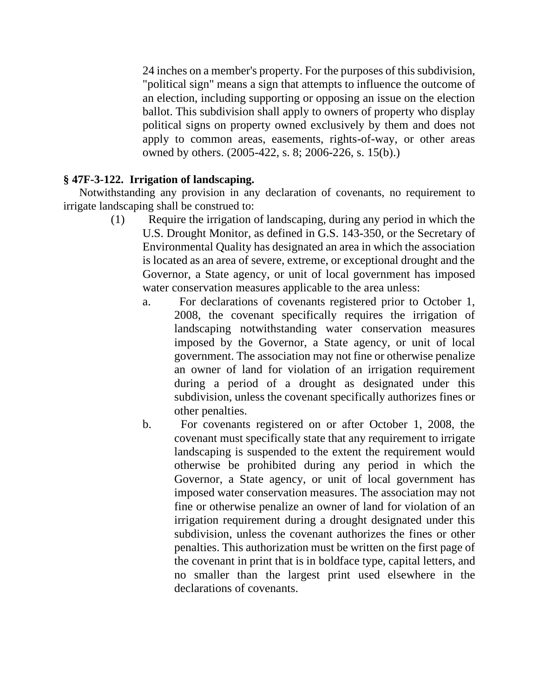24 inches on a member's property. For the purposes of this subdivision, "political sign" means a sign that attempts to influence the outcome of an election, including supporting or opposing an issue on the election ballot. This subdivision shall apply to owners of property who display political signs on property owned exclusively by them and does not apply to common areas, easements, rights-of-way, or other areas owned by others. (2005-422, s. 8; 2006-226, s. 15(b).)

# **§ 47F-3-122. Irrigation of landscaping.**

Notwithstanding any provision in any declaration of covenants, no requirement to irrigate landscaping shall be construed to:

- (1) Require the irrigation of landscaping, during any period in which the U.S. Drought Monitor, as defined in G.S. 143-350, or the Secretary of Environmental Quality has designated an area in which the association is located as an area of severe, extreme, or exceptional drought and the Governor, a State agency, or unit of local government has imposed water conservation measures applicable to the area unless:
	- a. For declarations of covenants registered prior to October 1, 2008, the covenant specifically requires the irrigation of landscaping notwithstanding water conservation measures imposed by the Governor, a State agency, or unit of local government. The association may not fine or otherwise penalize an owner of land for violation of an irrigation requirement during a period of a drought as designated under this subdivision, unless the covenant specifically authorizes fines or other penalties.
	- b. For covenants registered on or after October 1, 2008, the covenant must specifically state that any requirement to irrigate landscaping is suspended to the extent the requirement would otherwise be prohibited during any period in which the Governor, a State agency, or unit of local government has imposed water conservation measures. The association may not fine or otherwise penalize an owner of land for violation of an irrigation requirement during a drought designated under this subdivision, unless the covenant authorizes the fines or other penalties. This authorization must be written on the first page of the covenant in print that is in boldface type, capital letters, and no smaller than the largest print used elsewhere in the declarations of covenants.